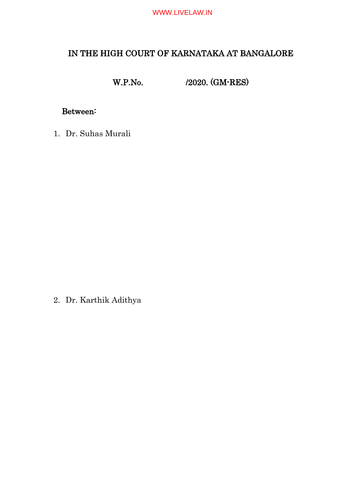# IN THE HIGH COURT OF KARNATAKA AT BANGALORE

W.P.No. /2020. (GM-RES)

# Between:

1. Dr. Suhas Murali

2. Dr. Karthik Adithya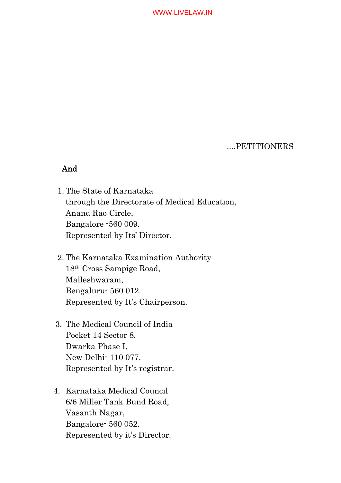....PETITIONERS

## And

- 1. The State of Karnataka through the Directorate of Medical Education, Anand Rao Circle, Bangalore -560 009. Represented by Its' Director.
- 2. The Karnataka Examination Authority 18th Cross Sampige Road, Malleshwaram, Bengaluru- 560 012. Represented by It's Chairperson.
- 3. The Medical Council of India Pocket 14 Sector 8, Dwarka Phase I, New Delhi- 110 077. Represented by It's registrar.
- 4. Karnataka Medical Council 6/6 Miller Tank Bund Road, Vasanth Nagar, Bangalore- 560 052. Represented by it's Director.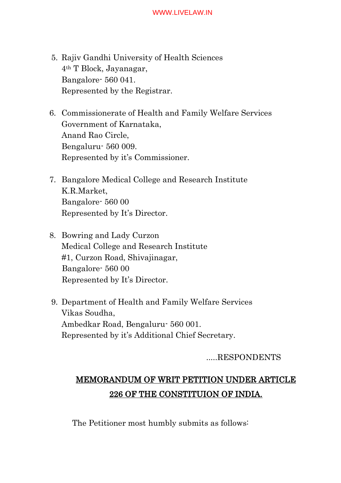- 5. Rajiv Gandhi University of Health Sciences 4th T Block, Jayanagar, Bangalore- 560 041. Represented by the Registrar.
- 6. Commissionerate of Health and Family Welfare Services Government of Karnataka, Anand Rao Circle, Bengaluru- 560 009. Represented by it's Commissioner.
- 7. Bangalore Medical College and Research Institute K.R.Market, Bangalore- 560 00 Represented by It's Director.
- 8. Bowring and Lady Curzon Medical College and Research Institute #1, Curzon Road, Shivajinagar, Bangalore- 560 00 Represented by It's Director.
- 9. Department of Health and Family Welfare Services Vikas Soudha, Ambedkar Road, Bengaluru- 560 001. Represented by it's Additional Chief Secretary.

# .....RESPONDENTS

# MEMORANDUM OF WRIT PETITION UNDER ARTICLE 226 OF THE CONSTITUION OF INDIA.

The Petitioner most humbly submits as follows: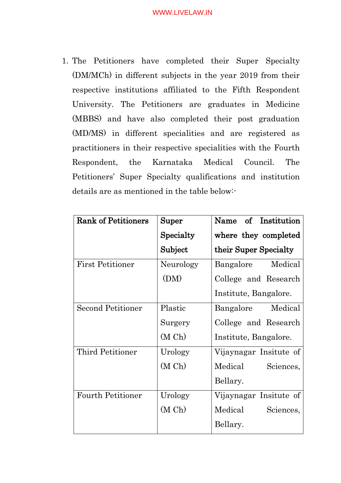1. The Petitioners have completed their Super Specialty (DM/MCh) in different subjects in the year 2019 from their respective institutions affiliated to the Fifth Respondent University. The Petitioners are graduates in Medicine (MBBS) and have also completed their post graduation (MD/MS) in different specialities and are registered as practitioners in their respective specialities with the Fourth Respondent, the Karnataka Medical Council. The Petitioners' Super Specialty qualifications and institution details are as mentioned in the table below:-

| <b>Rank of Petitioners</b> | ${\rm Super}$ | Name of Institution    |
|----------------------------|---------------|------------------------|
|                            | Specialty     | where they completed   |
|                            | Subject       | their Super Specialty  |
| <b>First Petitioner</b>    | Neurology     | Medical<br>Bangalore   |
|                            | (DM)          | College and Research   |
|                            |               | Institute, Bangalore.  |
| <b>Second Petitioner</b>   | Plastic       | Medical<br>Bangalore   |
|                            | Surgery       | College and Research   |
|                            | (M Ch)        | Institute, Bangalore.  |
| Third Petitioner           | Urology       | Vijaynagar Insitute of |
|                            | (M Ch)        | Medical<br>Sciences,   |
|                            |               | Bellary.               |
| <b>Fourth Petitioner</b>   | Urology       | Vijaynagar Insitute of |
|                            | (M Ch)        | Medical<br>Sciences,   |
|                            |               | Bellary.               |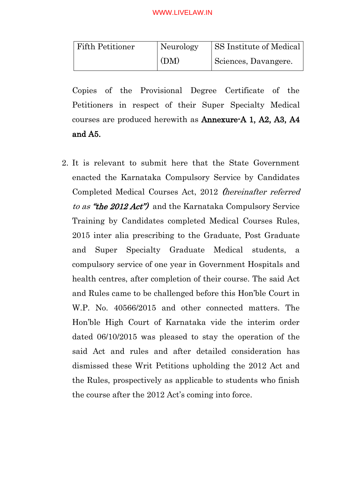| <b>Fifth Petitioner</b> | Neurology | <b>SS Institute of Medical</b> |
|-------------------------|-----------|--------------------------------|
|                         | (DM)      | Sciences, Davangere.           |

Copies of the Provisional Degree Certificate of the Petitioners in respect of their Super Specialty Medical courses are produced herewith as Annexure-A 1, A2, A3, A4 and A5.

2. It is relevant to submit here that the State Government enacted the Karnataka Compulsory Service by Candidates Completed Medical Courses Act, 2012 (hereinafter referred to as "the 2012 Act") and the Karnataka Compulsory Service Training by Candidates completed Medical Courses Rules, 2015 inter alia prescribing to the Graduate, Post Graduate and Super Specialty Graduate Medical students, a compulsory service of one year in Government Hospitals and health centres, after completion of their course. The said Act and Rules came to be challenged before this Hon'ble Court in W.P. No. 40566/2015 and other connected matters. The Hon'ble High Court of Karnataka vide the interim order dated 06/10/2015 was pleased to stay the operation of the said Act and rules and after detailed consideration has dismissed these Writ Petitions upholding the 2012 Act and the Rules, prospectively as applicable to students who finish the course after the 2012 Act's coming into force.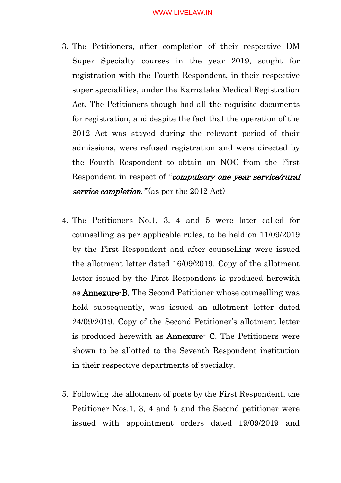- 3. The Petitioners, after completion of their respective DM Super Specialty courses in the year 2019, sought for registration with the Fourth Respondent, in their respective super specialities, under the Karnataka Medical Registration Act. The Petitioners though had all the requisite documents for registration, and despite the fact that the operation of the 2012 Act was stayed during the relevant period of their admissions, were refused registration and were directed by the Fourth Respondent to obtain an NOC from the First Respondent in respect of "compulsory one year service/rural" service completion." (as per the  $2012$  Act)
- 4. The Petitioners No.1, 3, 4 and 5 were later called for counselling as per applicable rules, to be held on 11/09/2019 by the First Respondent and after counselling were issued the allotment letter dated 16/09/2019. Copy of the allotment letter issued by the First Respondent is produced herewith as Annexure-B. The Second Petitioner whose counselling was held subsequently, was issued an allotment letter dated 24/09/2019. Copy of the Second Petitioner's allotment letter is produced herewith as Annexure- C. The Petitioners were shown to be allotted to the Seventh Respondent institution in their respective departments of specialty.
- 5. Following the allotment of posts by the First Respondent, the Petitioner Nos.1, 3, 4 and 5 and the Second petitioner were issued with appointment orders dated 19/09/2019 and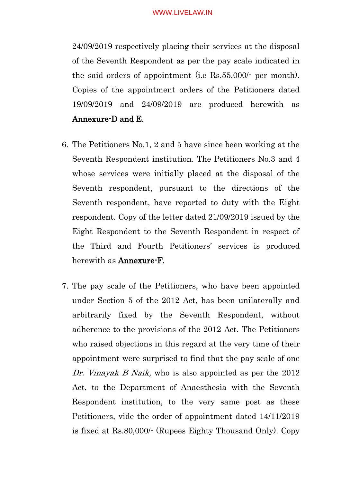24/09/2019 respectively placing their services at the disposal of the Seventh Respondent as per the pay scale indicated in the said orders of appointment (i.e Rs.55,000/- per month). Copies of the appointment orders of the Petitioners dated 19/09/2019 and 24/09/2019 are produced herewith as Annexure-D and E.

- 6. The Petitioners No.1, 2 and 5 have since been working at the Seventh Respondent institution. The Petitioners No.3 and 4 whose services were initially placed at the disposal of the Seventh respondent, pursuant to the directions of the Seventh respondent, have reported to duty with the Eight respondent. Copy of the letter dated 21/09/2019 issued by the Eight Respondent to the Seventh Respondent in respect of the Third and Fourth Petitioners' services is produced herewith as Annexure-F.
- 7. The pay scale of the Petitioners, who have been appointed under Section 5 of the 2012 Act, has been unilaterally and arbitrarily fixed by the Seventh Respondent, without adherence to the provisions of the 2012 Act. The Petitioners who raised objections in this regard at the very time of their appointment were surprised to find that the pay scale of one Dr. Vinayak B Naik, who is also appointed as per the 2012 Act, to the Department of Anaesthesia with the Seventh Respondent institution, to the very same post as these Petitioners, vide the order of appointment dated 14/11/2019 is fixed at Rs.80,000/- (Rupees Eighty Thousand Only). Copy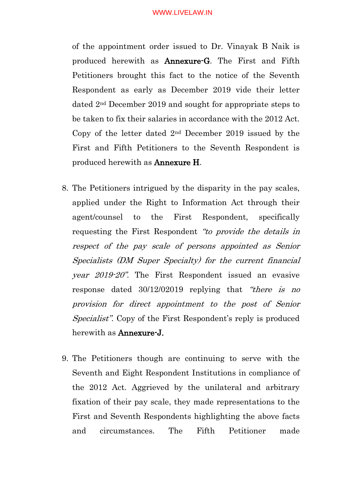of the appointment order issued to Dr. Vinayak B Naik is produced herewith as Annexure-G. The First and Fifth Petitioners brought this fact to the notice of the Seventh Respondent as early as December 2019 vide their letter dated 2nd December 2019 and sought for appropriate steps to be taken to fix their salaries in accordance with the 2012 Act. Copy of the letter dated 2nd December 2019 issued by the First and Fifth Petitioners to the Seventh Respondent is produced herewith as Annexure H.

- 8. The Petitioners intrigued by the disparity in the pay scales, applied under the Right to Information Act through their agent/counsel to the First Respondent, specifically requesting the First Respondent "to provide the details in respect of the pay scale of persons appointed as Senior Specialists (DM Super Specialty) for the current financial year 2019-20". The First Respondent issued an evasive response dated 30/12/02019 replying that "there is no provision for direct appointment to the post of Senior Specialist". Copy of the First Respondent's reply is produced herewith as Annexure-J.
- 9. The Petitioners though are continuing to serve with the Seventh and Eight Respondent Institutions in compliance of the 2012 Act. Aggrieved by the unilateral and arbitrary fixation of their pay scale, they made representations to the First and Seventh Respondents highlighting the above facts and circumstances. The Fifth Petitioner made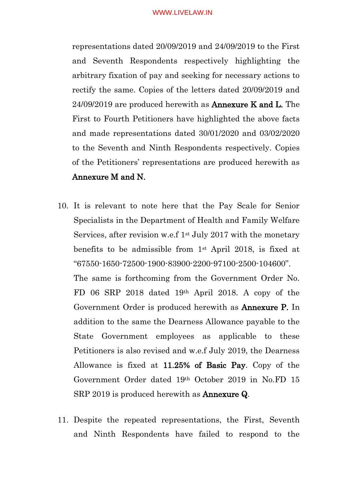representations dated 20/09/2019 and 24/09/2019 to the First and Seventh Respondents respectively highlighting the arbitrary fixation of pay and seeking for necessary actions to rectify the same. Copies of the letters dated 20/09/2019 and 24/09/2019 are produced herewith as Annexure K and L. The First to Fourth Petitioners have highlighted the above facts and made representations dated 30/01/2020 and 03/02/2020 to the Seventh and Ninth Respondents respectively. Copies of the Petitioners' representations are produced herewith as Annexure M and N.

- 10. It is relevant to note here that the Pay Scale for Senior Specialists in the Department of Health and Family Welfare Services, after revision w.e.f  $1<sup>st</sup>$  July 2017 with the monetary benefits to be admissible from 1st April 2018, is fixed at "67550-1650-72500-1900-83900-2200-97100-2500-104600". The same is forthcoming from the Government Order No. FD 06 SRP 2018 dated 19th April 2018. A copy of the Government Order is produced herewith as Annexure P. In addition to the same the Dearness Allowance payable to the State Government employees as applicable to these Petitioners is also revised and w.e.f July 2019, the Dearness Allowance is fixed at 11.25% of Basic Pay. Copy of the Government Order dated 19th October 2019 in No.FD 15 SRP 2019 is produced herewith as **Annexure Q**.
- 11. Despite the repeated representations, the First, Seventh and Ninth Respondents have failed to respond to the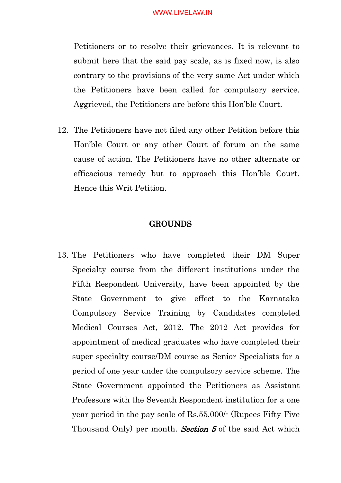Petitioners or to resolve their grievances. It is relevant to submit here that the said pay scale, as is fixed now, is also contrary to the provisions of the very same Act under which the Petitioners have been called for compulsory service. Aggrieved, the Petitioners are before this Hon'ble Court.

12. The Petitioners have not filed any other Petition before this Hon'ble Court or any other Court of forum on the same cause of action. The Petitioners have no other alternate or efficacious remedy but to approach this Hon'ble Court. Hence this Writ Petition.

## GROUNDS

13. The Petitioners who have completed their DM Super Specialty course from the different institutions under the Fifth Respondent University, have been appointed by the State Government to give effect to the Karnataka Compulsory Service Training by Candidates completed Medical Courses Act, 2012. The 2012 Act provides for appointment of medical graduates who have completed their super specialty course/DM course as Senior Specialists for a period of one year under the compulsory service scheme. The State Government appointed the Petitioners as Assistant Professors with the Seventh Respondent institution for a one year period in the pay scale of Rs.55,000/- (Rupees Fifty Five Thousand Only) per month. **Section 5** of the said Act which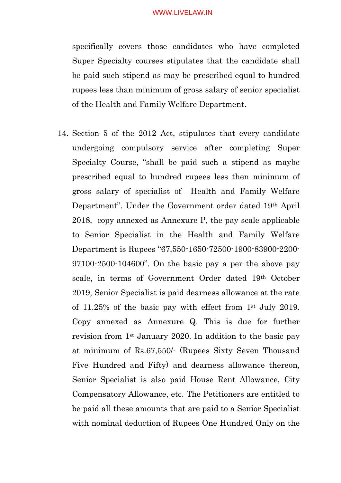specifically covers those candidates who have completed Super Specialty courses stipulates that the candidate shall be paid such stipend as may be prescribed equal to hundred rupees less than minimum of gross salary of senior specialist of the Health and Family Welfare Department.

14. Section 5 of the 2012 Act, stipulates that every candidate undergoing compulsory service after completing Super Specialty Course, "shall be paid such a stipend as maybe prescribed equal to hundred rupees less then minimum of gross salary of specialist of Health and Family Welfare Department". Under the Government order dated 19th April 2018, copy annexed as Annexure P, the pay scale applicable to Senior Specialist in the Health and Family Welfare Department is Rupees "67,550-1650-72500-1900-83900-2200- 97100-2500-104600". On the basic pay a per the above pay scale, in terms of Government Order dated 19th October 2019, Senior Specialist is paid dearness allowance at the rate of 11.25% of the basic pay with effect from 1st July 2019. Copy annexed as Annexure Q. This is due for further revision from 1st January 2020. In addition to the basic pay at minimum of Rs.67,550/- (Rupees Sixty Seven Thousand Five Hundred and Fifty) and dearness allowance thereon, Senior Specialist is also paid House Rent Allowance, City Compensatory Allowance, etc. The Petitioners are entitled to be paid all these amounts that are paid to a Senior Specialist with nominal deduction of Rupees One Hundred Only on the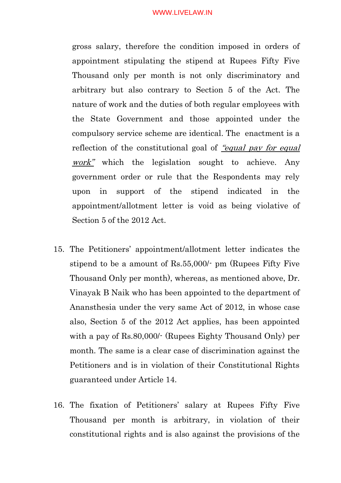gross salary, therefore the condition imposed in orders of appointment stipulating the stipend at Rupees Fifty Five Thousand only per month is not only discriminatory and arbitrary but also contrary to Section 5 of the Act. The nature of work and the duties of both regular employees with the State Government and those appointed under the compulsory service scheme are identical. The enactment is a reflection of the constitutional goal of "equal pay for equal" work" which the legislation sought to achieve. Any government order or rule that the Respondents may rely upon in support of the stipend indicated in the appointment/allotment letter is void as being violative of Section 5 of the 2012 Act.

- 15. The Petitioners' appointment/allotment letter indicates the stipend to be a amount of Rs.55,000/- pm (Rupees Fifty Five Thousand Only per month), whereas, as mentioned above, Dr. Vinayak B Naik who has been appointed to the department of Anansthesia under the very same Act of 2012, in whose case also, Section 5 of the 2012 Act applies, has been appointed with a pay of Rs.80,000/- (Rupees Eighty Thousand Only) per month. The same is a clear case of discrimination against the Petitioners and is in violation of their Constitutional Rights guaranteed under Article 14.
- 16. The fixation of Petitioners' salary at Rupees Fifty Five Thousand per month is arbitrary, in violation of their constitutional rights and is also against the provisions of the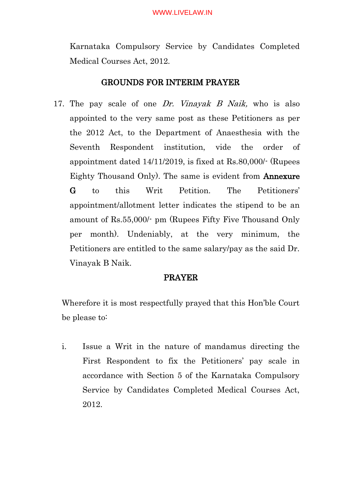Karnataka Compulsory Service by Candidates Completed Medical Courses Act, 2012.

# GROUNDS FOR INTERIM PRAYER

17. The pay scale of one Dr. Vinayak B Naik, who is also appointed to the very same post as these Petitioners as per the 2012 Act, to the Department of Anaesthesia with the Seventh Respondent institution, vide the order of appointment dated 14/11/2019, is fixed at Rs.80,000/- (Rupees Eighty Thousand Only). The same is evident from Annexure G to this Writ Petition. The Petitioners' appointment/allotment letter indicates the stipend to be an amount of Rs.55,000/- pm (Rupees Fifty Five Thousand Only per month). Undeniably, at the very minimum, the Petitioners are entitled to the same salary/pay as the said Dr. Vinayak B Naik.

## PRAYER

Wherefore it is most respectfully prayed that this Hon'ble Court be please to:

i. Issue a Writ in the nature of mandamus directing the First Respondent to fix the Petitioners' pay scale in accordance with Section 5 of the Karnataka Compulsory Service by Candidates Completed Medical Courses Act, 2012.